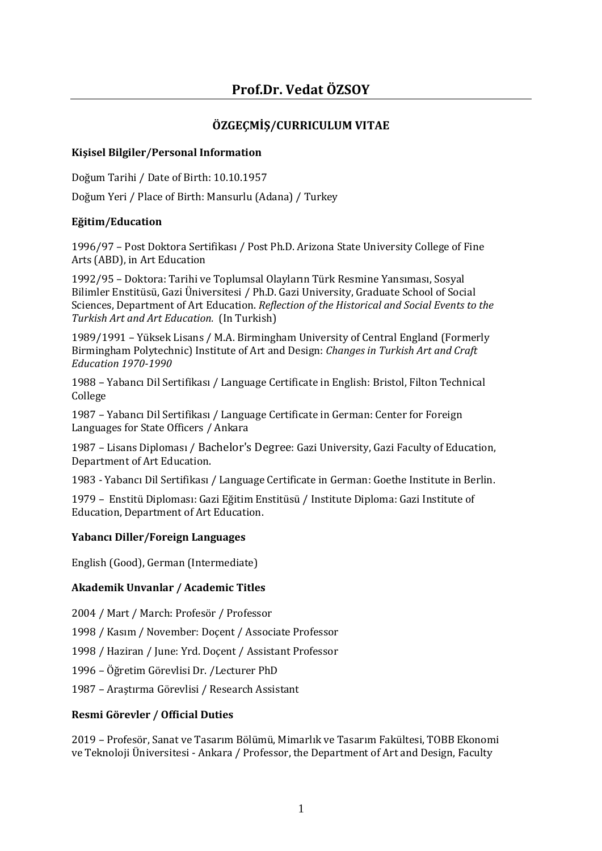# **ÖZGEÇMİŞ/CURRICULUM VITAE**

# **Kişisel Bilgiler/Personal Information**

Doğum Tarihi / Date of Birth: 10.10.1957

Doğum Yeri / Place of Birth: Mansurlu (Adana) / Turkey

# **Eğitim/Education**

1996/97 – Post Doktora Sertifikası / Post Ph.D. Arizona State University College of Fine Arts (ABD), in Art Education

1992/95 – Doktora: Tarihi ve Toplumsal Olayların Türk Resmine Yansıması, Sosyal Bilimler Enstitüsü, Gazi Üniversitesi / Ph.D. Gazi University, Graduate School of Social Sciences, Department of Art Education. *Reflection of the Historical and Social Events to the Turkish Art and Art Education.* (In Turkish)

1989/1991 – Yüksek Lisans / M.A. Birmingham University of Central England (Formerly Birmingham Polytechnic) Institute of Art and Design: *Changes in Turkish Art and Craft Education 1970-1990*

1988 – Yabancı Dil Sertifikası / Language Certificate in English: Bristol, Filton Technical College

1987 – Yabancı Dil Sertifikası / Language Certificate in German: Center for Foreign Languages for State Officers / Ankara

1987 – Lisans Diploması / Bachelor's Degree: Gazi University, Gazi Faculty of Education, Department of Art Education.

1983 - Yabancı Dil Sertifikası / Language Certificate in German: Goethe Institute in Berlin.

1979 – Enstitü Diploması: Gazi Eğitim Enstitüsü / Institute Diploma: Gazi Institute of Education, Department of Art Education.

# **Yabancı Diller/Foreign Languages**

English (Good), German (Intermediate)

# **Akademik Unvanlar / Academic Titles**

2004 / Mart / March: Profesör / Professor

1998 / Kasım / November: Doçent / Associate Professor

1998 / Haziran / June: Yrd. Doçent / Assistant Professor

1996 – Öğretim Görevlisi Dr. /Lecturer PhD

1987 – Araştırma Görevlisi / Research Assistant

# **Resmi Görevler / Official Duties**

2019 – Profesör, Sanat ve Tasarım Bölümü, Mimarlık ve Tasarım Fakültesi, TOBB Ekonomi ve Teknoloji Üniversitesi - Ankara / Professor, the Department of Art and Design, Faculty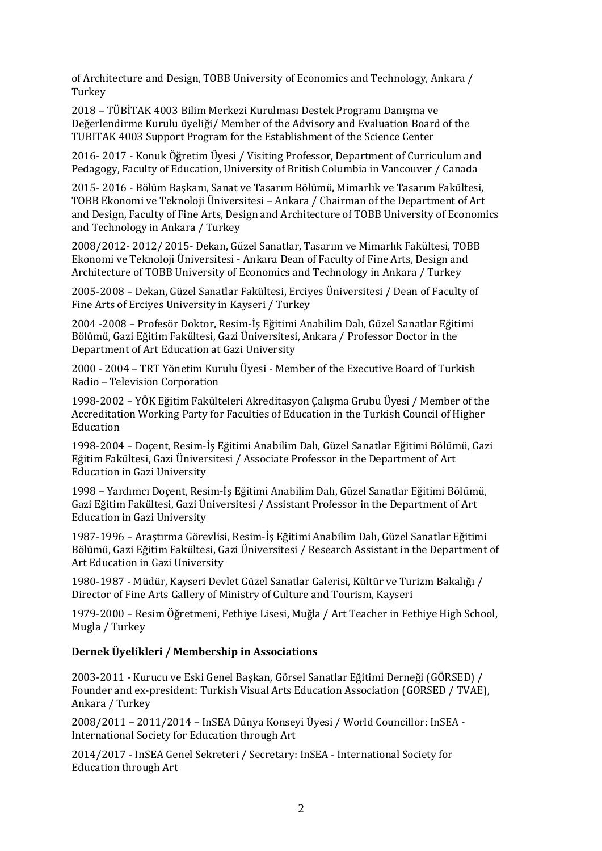of Architecture and Design, TOBB University of Economics and Technology, Ankara / **Turkey** 

2018 – TÜBİTAK 4003 Bilim Merkezi Kurulması Destek Programı Danışma ve Değerlendirme Kurulu üyeliği/ Member of the Advisory and Evaluation Board of the TUBITAK 4003 Support Program for the Establishment of the Science Center

2016- 2017 - Konuk Öğretim Üyesi / Visiting Professor, Department of Curriculum and Pedagogy, Faculty of Education, University of British Columbia in Vancouver / Canada

2015- 2016 - Bölüm Başkanı, Sanat ve Tasarım Bölümü, Mimarlık ve Tasarım Fakültesi, TOBB Ekonomi ve Teknoloji Üniversitesi – Ankara / Chairman of the Department of Art and Design, Faculty of Fine Arts, Design and Architecture of TOBB University of Economics and Technology in Ankara / Turkey

2008/2012- 2012/ 2015- Dekan, Güzel Sanatlar, Tasarım ve Mimarlık Fakültesi, TOBB Ekonomi ve Teknoloji Üniversitesi - Ankara Dean of Faculty of Fine Arts, Design and Architecture of TOBB University of Economics and Technology in Ankara / Turkey

2005-2008 – Dekan, Güzel Sanatlar Fakültesi, Erciyes Üniversitesi / Dean of Faculty of Fine Arts of Erciyes University in Kayseri / Turkey

2004 -2008 – Profesör Doktor, Resim-İş Eğitimi Anabilim Dalı, Güzel Sanatlar Eğitimi Bölümü, Gazi Eğitim Fakültesi, Gazi Üniversitesi, Ankara / Professor Doctor in the Department of Art Education at Gazi University

2000 - 2004 – TRT Yönetim Kurulu Üyesi - Member of the Executive Board of Turkish Radio – Television Corporation

1998-2002 – YÖK Eğitim Fakülteleri Akreditasyon Çalışma Grubu Üyesi / Member of the Accreditation Working Party for Faculties of Education in the Turkish Council of Higher Education

1998-2004 – Doçent, Resim-İş Eğitimi Anabilim Dalı, Güzel Sanatlar Eğitimi Bölümü, Gazi Eğitim Fakültesi, Gazi Üniversitesi / Associate Professor in the Department of Art Education in Gazi University

1998 – Yardımcı Doçent, Resim-İş Eğitimi Anabilim Dalı, Güzel Sanatlar Eğitimi Bölümü, Gazi Eğitim Fakültesi, Gazi Üniversitesi / Assistant Professor in the Department of Art Education in Gazi University

1987-1996 – Araştırma Görevlisi, Resim-İş Eğitimi Anabilim Dalı, Güzel Sanatlar Eğitimi Bölümü, Gazi Eğitim Fakültesi, Gazi Üniversitesi / Research Assistant in the Department of Art Education in Gazi University

1980-1987 - Müdür, Kayseri Devlet Güzel Sanatlar Galerisi, Kültür ve Turizm Bakalığı / Director of Fine Arts Gallery of Ministry of Culture and Tourism, Kayseri

1979-2000 – Resim Öğretmeni, Fethiye Lisesi, Muğla / Art Teacher in Fethiye High School, Mugla / Turkey

# **Dernek Üyelikleri / Membership in Associations**

2003-2011 - Kurucu ve Eski Genel Başkan, Görsel Sanatlar Eğitimi Derneği (GÖRSED) / Founder and ex-president: Turkish Visual Arts Education Association (GORSED / TVAE), Ankara / Turkey

2008/2011 – 2011/2014 – InSEA Dünya Konseyi Üyesi / World Councillor: InSEA - International Society for Education through Art

2014/2017 - InSEA Genel Sekreteri / Secretary: InSEA - International Society for Education through Art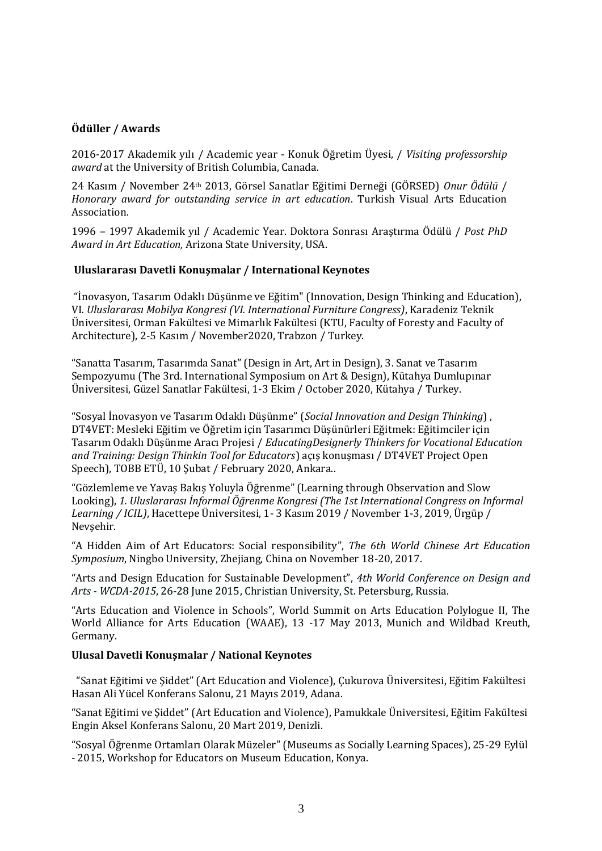# **Ödüller / Awards**

2016-2017 Akademik yılı / Academic year - Konuk Öğretim Üyesi, / *Visiting professorship award* at the University of British Columbia, Canada.

24 Kasım / November 24th 2013, Görsel Sanatlar Eğitimi Derneği (GÖRSED) *Onur Ödülü* / *Honorary award for outstanding service in art education*. Turkish Visual Arts Education Association.

1996 – 1997 Akademik yıl / Academic Year. Doktora Sonrası Araştırma Ödülü / *Post PhD Award in Art Education,* Arizona State University, USA.

#### **Uluslararası Davetli Konuşmalar / International Keynotes**

"İnovasyon, Tasarım Odaklı Düşünme ve Eğitim" (Innovation, Design Thinking and Education), VI*. Uluslararası Mobilya Kongresi (VI. International Furniture Congress)*, Karadeniz Teknik Üniversitesi, Orman Fakültesi ve Mimarlık Fakültesi (KTU, Faculty of Foresty and Faculty of Architecture), 2-5 Kasım / November2020, Trabzon / Turkey.

"Sanatta Tasarım, Tasarımda Sanat" (Design in Art, Art in Design), 3. Sanat ve Tasarım Sempozyumu (The 3rd. International Symposium on Art & Design), Kütahya Dumlupınar Üniversitesi, Güzel Sanatlar Fakültesi, 1-3 Ekim / October 2020, Kütahya / Turkey.

"Sosyal İnovasyon ve Tasarım Odaklı Düşünme" (*Social Innovation and Design Thinking*) , DT4VET: Mesleki Eğitim ve Öğretim için Tasarımcı Düşünürleri Eğitmek: Eğitimciler için Tasarım Odaklı Düşünme Aracı Projesi / *EducatingDesignerly Thinkers for Vocational Education and Training: Design Thinkin Tool for Educators*) açış konuşması / DT4VET Project Open Speech), TOBB ETÜ, 10 Şubat / February 2020, Ankara..

"Gözlemleme ve Yavaş Bakış Yoluyla Öğrenme" (Learning through Observation and Slow Looking), *1. Uluslararası İnformal Öğrenme Kongresi (The 1st International Congress on Informal Learning / ICIL)*, Hacettepe Üniversitesi, 1- 3 Kasım 2019 / November 1-3, 2019, Ürgüp / Nevşehir.

"A Hidden Aim of Art Educators: Social responsibility", *The 6th World Chinese Art Education Symposium*, Ningbo University, Zhejiang, China on November 18-20, 2017.

"Arts and Design Education for Sustainable Development", *4th World Conference on Design and Arts - WCDA-2015*, 26-28 June 2015, Christian University, St. Petersburg, Russia.

"Arts Education and Violence in Schools", World Summit on Arts Education Polylogue II, The World Alliance for Arts Education (WAAE), 13 -17 May 2013, Munich and Wildbad Kreuth, Germany.

#### **Ulusal Davetli Konuşmalar / National Keynotes**

"Sanat Eğitimi ve Şiddet" (Art Education and Violence), Çukurova Üniversitesi, Eğitim Fakültesi Hasan Ali Yücel Konferans Salonu, 21 Mayıs 2019, Adana.

"Sanat Eğitimi ve Şiddet" (Art Education and Violence), Pamukkale Üniversitesi, Eğitim Fakültesi Engin Aksel Konferans Salonu, 20 Mart 2019, Denizli.

"Sosyal Öğrenme Ortamları Olarak Müzeler" (Museums as Socially Learning Spaces), 25-29 Eylül - 2015, Workshop for Educators on Museum Education, Konya.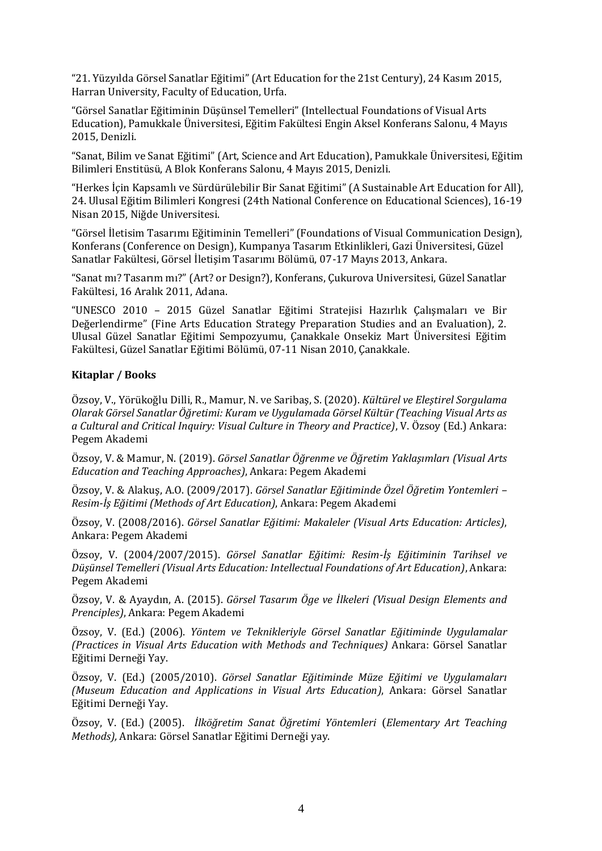"21. Yüzyılda Görsel Sanatlar Eğitimi" (Art Education for the 21st Century), 24 Kasım 2015, Harran University, Faculty of Education, Urfa.

"Görsel Sanatlar Eğitiminin Düşünsel Temelleri" (Intellectual Foundations of Visual Arts Education), Pamukkale Üniversitesi, Eğitim Fakültesi Engin Aksel Konferans Salonu, 4 Mayıs 2015, Denizli.

"Sanat, Bilim ve Sanat Eğitimi" (Art, Science and Art Education), Pamukkale Üniversitesi, Eğitim Bilimleri Enstitüsü, A Blok Konferans Salonu, 4 Mayıs 2015, Denizli.

"Herkes İçin Kapsamlı ve Sürdürülebilir Bir Sanat Eğitimi" (A Sustainable Art Education for All), 24. Ulusal Eğitim Bilimleri Kongresi (24th National Conference on Educational Sciences), 16-19 Nisan 2015, Niğde Universitesi.

"Görsel İletisim Tasarımı Eğitiminin Temelleri" (Foundations of Visual Communication Design), Konferans (Conference on Design), Kumpanya Tasarım Etkinlikleri, Gazi Üniversitesi, Güzel Sanatlar Fakültesi, Görsel İletişim Tasarımı Bölümü, 07-17 Mayıs 2013, Ankara.

"Sanat mı? Tasarım mı?" (Art? or Design?), Konferans, Çukurova Universitesi, Güzel Sanatlar Fakültesi, 16 Aralık 2011, Adana.

"UNESCO 2010 – 2015 Güzel Sanatlar Eğitimi Stratejisi Hazırlık Çalışmaları ve Bir Değerlendirme" (Fine Arts Education Strategy Preparation Studies and an Evaluation), 2. Ulusal Güzel Sanatlar Eğitimi Sempozyumu, Çanakkale Onsekiz Mart Üniversitesi Eğitim Fakültesi, Güzel Sanatlar Eğitimi Bölümü, 07-11 Nisan 2010, Çanakkale.

#### **Kitaplar / Books**

Özsoy, V., Yörükoğlu Dilli, R., Mamur, N. ve Saribaş, S. (2020). *Kültürel ve Eleştirel Sorgulama Olarak Görsel Sanatlar Öğretimi: Kuram ve Uygulamada Görsel Kültür (Teaching Visual Arts as a Cultural and Critical Inquiry: Visual Culture in Theory and Practice)*, V. Özsoy (Ed.) Ankara: Pegem Akademi

Özsoy, V. & Mamur, N. (2019). *Görsel Sanatlar Öğrenme ve Öğretim Yaklaşımları (Visual Arts Education and Teaching Approaches)*, Ankara: Pegem Akademi

Özsoy, V. & Alakuş, A.O. (2009/2017). *Görsel Sanatlar Eğitiminde Özel Öğretim Yontemleri – Resim-İş Eğitimi (Methods of Art Education)*, Ankara: Pegem Akademi

Özsoy, V. (2008/2016). *Görsel Sanatlar Eğitimi: Makaleler (Visual Arts Education: Articles)*, Ankara: Pegem Akademi

Özsoy, V. (2004/2007/2015). *Görsel Sanatlar Eğitimi: Resim-İş Eğitiminin Tarihsel ve Düşünsel Temelleri (Visual Arts Education: Intellectual Foundations of Art Education)*, Ankara: Pegem Akademi

Özsoy, V. & Ayaydın, A. (2015). *Görsel Tasarım Öge ve İlkeleri (Visual Design Elements and Prenciples)*, Ankara: Pegem Akademi

Özsoy, V. (Ed.) (2006). *Yöntem ve Teknikleriyle Görsel Sanatlar Eğitiminde Uygulamalar (Practices in Visual Arts Education with Methods and Techniques)* Ankara: Görsel Sanatlar Eğitimi Derneği Yay.

Özsoy, V. (Ed.) (2005/2010). *Görsel Sanatlar Eğitiminde Müze Eğitimi ve Uygulamaları (Museum Education and Applications in Visual Arts Education)*, Ankara: Görsel Sanatlar Eğitimi Derneği Yay.

Özsoy, V. (Ed.) (2005). *İlköğretim Sanat Öğretimi Yöntemleri* (*Elementary Art Teaching Methods),* Ankara: Görsel Sanatlar Eğitimi Derneği yay.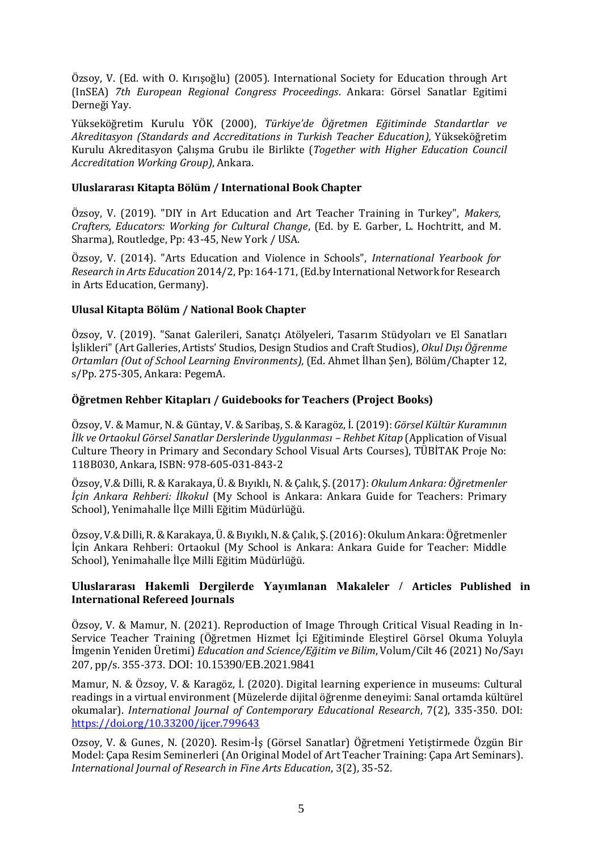Özsoy, V. (Ed. with O. Kırışoğlu) (2005). International Society for Education through Art (InSEA) *7th European Regional Congress Proceedings*. Ankara: Görsel Sanatlar Egitimi Derneği Yay.

Yükseköğretim Kurulu YÖK (2000), *Türkiye'de Öğretmen Eğitiminde Standartlar ve Akreditasyon (Standards and Accreditations in Turkish Teacher Education),* Yükseköğretim Kurulu Akreditasyon Çalışma Grubu ile Birlikte (*Together with Higher Education Council Accreditation Working Group)*, Ankara.

#### **Uluslararası Kitapta Bölüm / International Book Chapter**

Özsoy, V. (2019). "DIY in Art Education and Art Teacher Training in Turkey", *Makers, Crafters, Educators: Working for Cultural Change*, (Ed. by E. Garber, L. Hochtritt, and M. Sharma), Routledge, Pp: 43-45, New York / USA.

Özsoy, V. (2014). "Arts Education and Violence in Schools", *International Yearbook for Research in Arts Education* 2014/2, Pp: 164-171, (Ed.by International Network for Research in Arts Education, Germany).

#### **Ulusal Kitapta Bölüm / National Book Chapter**

Özsoy, V. (2019). "Sanat Galerileri, Sanatçı Atölyeleri, Tasarım Stüdyoları ve El Sanatları İşlikleri"(Art Galleries, Artists' Studios, Design Studios and Craft Studios), *Okul Dışı Öğrenme Ortamları (Out of School Learning Environments),* (Ed. Ahmet İlhan Şen), Bölüm/Chapter 12, s/Pp. 275-305, Ankara: PegemA.

#### **Öğretmen Rehber Kitapları / Guidebooks for Teachers (Project Books)**

Özsoy, V. & Mamur, N. & Güntay, V. & Saribaş, S. & Karagöz, İ. (2019): *Görsel Kültür Kuramının İlk ve Ortaokul Görsel Sanatlar Derslerinde Uygulanması – Rehbet Kitap* (Application of Visual Culture Theory in Primary and Secondary School Visual Arts Courses), TÜBİTAK Proje No: 118B030, Ankara, ISBN: 978-605-031-843-2

Özsoy, V.& Dilli, R. & Karakaya, Ü. & Bıyıklı, N. & Çalık, Ş. (2017): *Okulum Ankara: Öğretmenler İçin Ankara Rehberi: İlkokul* (My School is Ankara: Ankara Guide for Teachers: Primary School), Yenimahalle İlçe Milli Eğitim Müdürlüğü.

Özsoy, V.& Dilli, R. & Karakaya, Ü. & Bıyıklı, N. & Çalık, Ş. (2016): Okulum Ankara: Öğretmenler İçin Ankara Rehberi: Ortaokul (My School is Ankara: Ankara Guide for Teacher: Middle School), Yenimahalle İlçe Milli Eğitim Müdürlüğü.

# **Uluslararası Hakemli Dergilerde Yayımlanan Makaleler / Articles Published in International Refereed Journals**

Özsoy, V. & Mamur, N. (2021). Reproduction of Image Through Critical Visual Reading in In-Service Teacher Training (Öğretmen Hizmet İçi Eğitiminde Eleştirel Görsel Okuma Yoluyla İmgenin Yeniden Üretimi) *Education and Science/Eğitim ve Bilim*, Volum/Cilt 46 (2021) No/Sayı 207, pp/s. 355-373. DOI: 10.15390/EB.2021.9841

Mamur, N. & Özsoy, V. & Karagöz, İ. (2020). Digital learning experience in museums: Cultural readings in a virtual environment (Müzelerde dijital öğrenme deneyimi: Sanal ortamda kültürel okumalar). *International Journal of Contemporary Educational Research*, 7(2), 335-350. DOI: <https://doi.org/10.33200/ijcer.799643>

Ozsoy, V. & Gunes, N. (2020). Resim-İş (Görsel Sanatlar) Öğretmeni Yetiştirmede Özgün Bir Model: Çapa Resim Seminerleri (An Original Model of Art Teacher Training: Çapa Art Seminars). *International Journal of Research in Fine Arts Education*, 3(2), 35-52.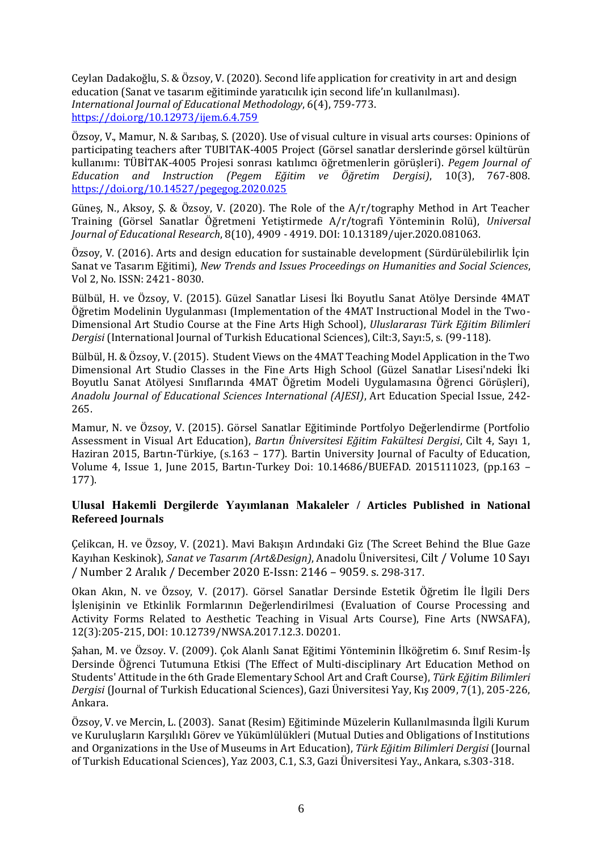Ceylan Dadakoğlu, S. & Özsoy, V. (2020). Second life application for creativity in art and design education (Sanat ve tasarım eğitiminde yaratıcılık için second life'ın kullanılması). *International Journal of Educational Methodology*, 6(4), 759-773. <https://doi.org/10.12973/ijem.6.4.759>

Özsoy, V., Mamur, N. & Sarıbaş, S. (2020). Use of visual culture in visual arts courses: Opinions of participating teachers after TUBITAK-4005 Project (Görsel sanatlar derslerinde görsel kültürün kullanımı: TÜBİTAK-4005 Projesi sonrası katılımcı öğretmenlerin görüşleri). *Pegem Journal of Education and Instruction (Pegem Eğitim ve Öğretim Dergisi)*, 10(3), 767-808. <https://doi.org/10.14527/pegegog.2020.025>

Güneş, N., Aksoy, Ş. & Özsoy, V. (2020). The Role of the A/r/tography Method in Art Teacher Training (Görsel Sanatlar Öğretmeni Yetiştirmede A/r/tografi Yönteminin Rolü), *Universal Journal of Educational Research*, 8(10), 4909 - 4919. DOI: 10.13189/ujer.2020.081063.

Özsoy, V. (2016). Arts and design education for sustainable development (Sürdürülebilirlik İçin Sanat ve Tasarım Eğitimi), *New Trends and Issues Proceedings on Humanities and Social Sciences*, Vol 2, No. ISSN: 2421- 8030.

Bülbül, H. ve Özsoy, V. (2015). Güzel Sanatlar Lisesi İki Boyutlu Sanat Atölye Dersinde 4MAT Öğretim Modelinin Uygulanması (Implementation of the 4MAT Instructional Model in the Two-Dimensional Art Studio Course at the Fine Arts High School), *Uluslararası Türk Eğitim Bilimleri Dergisi* (International Journal of Turkish Educational Sciences), Cilt:3, Sayı:5, s. (99-118).

Bülbül, H. & Özsoy, V. (2015). Student Views on the 4MAT Teaching Model Application in the Two Dimensional Art Studio Classes in the Fine Arts High School (Güzel Sanatlar Lisesi'ndeki İki Boyutlu Sanat Atölyesi Sınıflarında 4MAT Öğretim Modeli Uygulamasına Öğrenci Görüşleri), *Anadolu Journal of Educational Sciences International (AJESI)*, Art Education Special Issue, 242- 265.

Mamur, N. ve Özsoy, V. (2015). Görsel Sanatlar Eğitiminde Portfolyo Değerlendirme (Portfolio Assessment in Visual Art Education), *Bartın Üniversitesi Eğitim Fakültesi Dergisi*, Cilt 4, Sayı 1, Haziran 2015, Bartın-Türkiye, (s.163 – 177). Bartin University Journal of Faculty of Education, Volume 4, Issue 1, June 2015, Bartın-Turkey Doi: 10.14686/BUEFAD. 2015111023, (pp.163 – 177).

# **Ulusal Hakemli Dergilerde Yayımlanan Makaleler / Articles Published in National Refereed Journals**

Çelikcan, H. ve Özsoy, V. (2021). Mavi Bakışın Ardındaki Giz (The Screet Behind the Blue Gaze Kayıhan Keskinok), *Sanat ve Tasarım (Art&Design)*, Anadolu Üniversitesi, Cilt / Volume 10 Sayı / Number 2 Aralık / December 2020 E-Issn: 2146 – 9059. s. 298-317.

Okan Akın, N. ve Özsoy, V. (2017). Görsel Sanatlar Dersinde Estetik Öğretim İle İlgili Ders İşlenişinin ve Etkinlik Formlarının Değerlendirilmesi (Evaluation of Course Processing and Activity Forms Related to Aesthetic Teaching in Visual Arts Course), Fine Arts (NWSAFA), 12(3):205-215, DOI: 10.12739/NWSA.2017.12.3. D0201.

Şahan, M. ve Özsoy. V. (2009). Çok Alanlı Sanat Eğitimi Yönteminin İlköğretim 6. Sınıf Resim-İş Dersinde Öğrenci Tutumuna Etkisi (The Effect of Multi-disciplinary Art Education Method on Students' Attitude in the 6th Grade Elementary School Art and Craft Course), *Türk Eğitim Bilimleri Dergisi* (Journal of Turkish Educational Sciences), Gazi Üniversitesi Yay, Kış 2009, 7(1), 205-226, Ankara.

Özsoy, V. ve Mercin, L. (2003). Sanat (Resim) Eğitiminde Müzelerin Kullanılmasında İlgili Kurum ve Kuruluşların Karşılıklı Görev ve Yükümlülükleri (Mutual Duties and Obligations of Institutions and Organizations in the Use of Museums in Art Education), *Türk Eğitim Bilimleri Dergisi* (Journal of Turkish Educational Sciences), Yaz 2003, C.1, S.3, Gazi Üniversitesi Yay., Ankara, s.303-318.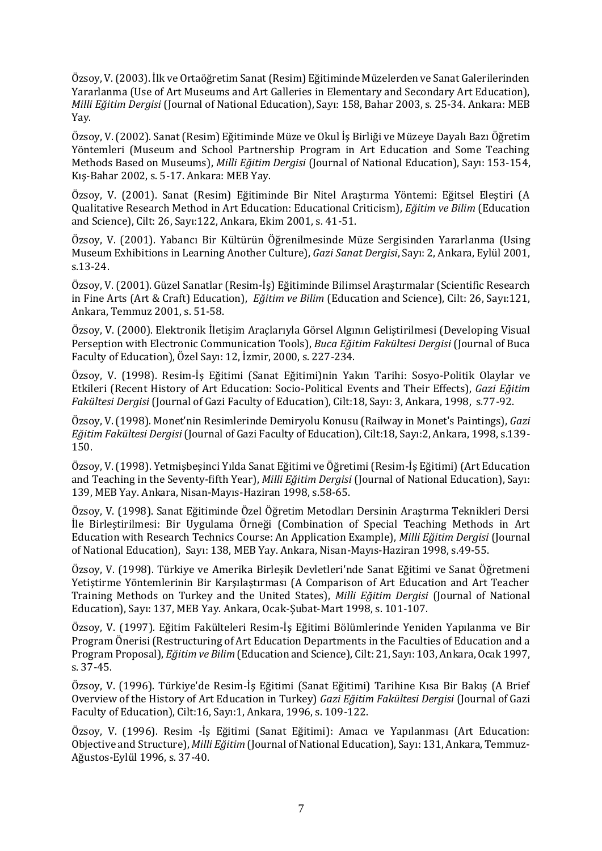Özsoy, V. (2003). İlk ve Ortaöğretim Sanat (Resim) Eğitiminde Müzelerden ve Sanat Galerilerinden Yararlanma (Use of Art Museums and Art Galleries in Elementary and Secondary Art Education), *Milli Eğitim Dergisi* (Journal of National Education), Sayı: 158, Bahar 2003, s. 25-34. Ankara: MEB Yay.

Özsoy, V. (2002). Sanat (Resim) Eğitiminde Müze ve Okul İş Birliği ve Müzeye Dayalı Bazı Öğretim Yöntemleri (Museum and School Partnership Program in Art Education and Some Teaching Methods Based on Museums), *Milli Eğitim Dergisi* (Journal of National Education), Sayı: 153-154, Kış-Bahar 2002, s. 5-17. Ankara: MEB Yay.

Özsoy, V. (2001). Sanat (Resim) Eğitiminde Bir Nitel Araştırma Yöntemi: Eğitsel Eleştiri (A Qualitative Research Method in Art Education: Educational Criticism), *Eğitim ve Bilim* (Education and Science), Cilt: 26, Sayı:122, Ankara, Ekim 2001, s. 41-51.

Özsoy, V. (2001). Yabancı Bir Kültürün Öğrenilmesinde Müze Sergisinden Yararlanma (Using Museum Exhibitions in Learning Another Culture), *Gazi Sanat Dergisi*, Sayı: 2, Ankara, Eylül 2001, s.13-24.

Özsoy, V. (2001). Güzel Sanatlar (Resim-İş) Eğitiminde Bilimsel Araştırmalar (Scientific Research in Fine Arts (Art & Craft) Education), *Eğitim ve Bilim* (Education and Science), Cilt: 26, Sayı:121, Ankara, Temmuz 2001, s. 51-58.

Özsoy, V. (2000). Elektronik İletişim Araçlarıyla Görsel Algının Geliştirilmesi (Developing Visual Perseption with Electronic Communication Tools), *Buca Eğitim Fakültesi Dergisi* (Journal of Buca Faculty of Education), Özel Sayı: 12, İzmir, 2000, s. 227-234.

Özsoy, V. (1998). Resim-İş Eğitimi (Sanat Eğitimi)nin Yakın Tarihi: Sosyo-Politik Olaylar ve Etkileri (Recent History of Art Education: Socio-Political Events and Their Effects), *Gazi Eğitim Fakültesi Dergisi* (Journal of Gazi Faculty of Education), Cilt:18, Sayı: 3, Ankara, 1998, s.77-92.

Özsoy, V. (1998). Monet'nin Resimlerinde Demiryolu Konusu (Railway in Monet's Paintings), *Gazi Eğitim Fakültesi Dergisi* (Journal of Gazi Faculty of Education), Cilt:18, Sayı:2, Ankara, 1998, s.139- 150.

Özsoy, V. (1998). Yetmişbeşinci Yılda Sanat Eğitimi ve Öğretimi (Resim-İş Eğitimi) (Art Education and Teaching in the Seventy-fifth Year), *Milli Eğitim Dergisi* (Journal of National Education), Sayı: 139, MEB Yay. Ankara, Nisan-Mayıs-Haziran 1998, s.58-65.

Özsoy, V. (1998). Sanat Eğitiminde Özel Öğretim Metodları Dersinin Araştırma Teknikleri Dersi İle Birleştirilmesi: Bir Uygulama Örneği (Combination of Special Teaching Methods in Art Education with Research Technics Course: An Application Example), *Milli Eğitim Dergisi* (Journal of National Education), Sayı: 138, MEB Yay. Ankara, Nisan-Mayıs-Haziran 1998, s.49-55.

Özsoy, V. (1998). Türkiye ve Amerika Birleşik Devletleri'nde Sanat Eğitimi ve Sanat Öğretmeni Yetiştirme Yöntemlerinin Bir Karşılaştırması (A Comparison of Art Education and Art Teacher Training Methods on Turkey and the United States), *Milli Eğitim Dergisi* (Journal of National Education), Sayı: 137, MEB Yay. Ankara, Ocak-Şubat-Mart 1998, s. 101-107.

Özsoy, V. (1997). Eğitim Fakülteleri Resim-İş Eğitimi Bölümlerinde Yeniden Yapılanma ve Bir Program Önerisi (Restructuring of Art Education Departments in the Faculties of Education and a Program Proposal), *Eğitim ve Bilim* (Education and Science), Cilt: 21, Sayı: 103, Ankara, Ocak 1997, s. 37-45.

Özsoy, V. (1996). Türkiye'de Resim-İş Eğitimi (Sanat Eğitimi) Tarihine Kısa Bir Bakış (A Brief Overview of the History of Art Education in Turkey) *Gazi Eğitim Fakültesi Dergisi* (Journal of Gazi Faculty of Education), Cilt:16, Sayı:1, Ankara, 1996, s. 109-122.

Özsoy, V. (1996). Resim -İş Eğitimi (Sanat Eğitimi): Amacı ve Yapılanması (Art Education: Objective and Structure), *Milli Eğitim* (Journal of National Education), Sayı: 131, Ankara, Temmuz-Ağustos-Eylül 1996, s. 37-40.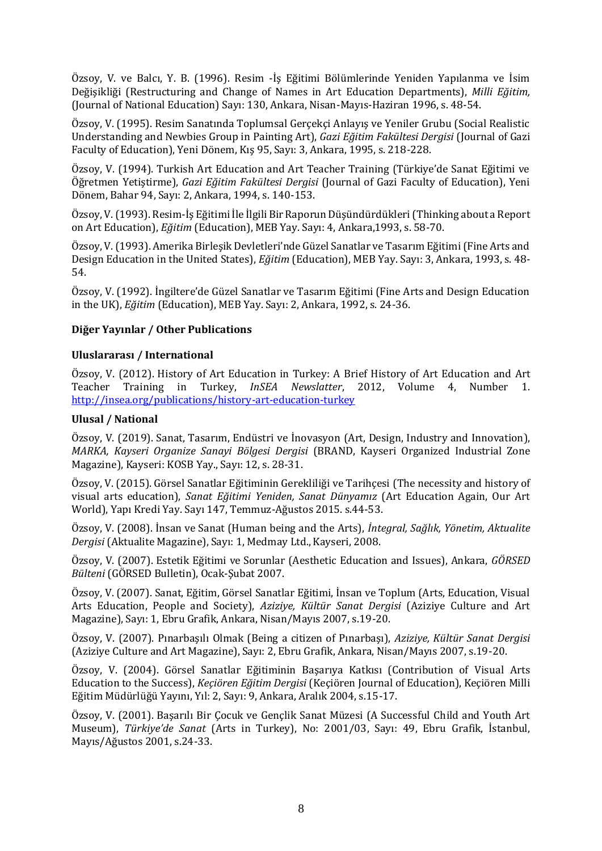Özsoy, V. ve Balcı, Y. B. (1996). Resim -İş Eğitimi Bölümlerinde Yeniden Yapılanma ve İsim Değişikliği (Restructuring and Change of Names in Art Education Departments), *Milli Eğitim,*  (Journal of National Education) Sayı: 130, Ankara, Nisan-Mayıs-Haziran 1996, s. 48-54.

Özsoy, V. (1995). Resim Sanatında Toplumsal Gerçekçi Anlayış ve Yeniler Grubu (Social Realistic Understanding and Newbies Group in Painting Art), *Gazi Eğitim Fakültesi Dergisi* (Journal of Gazi Faculty of Education), Yeni Dönem, Kış 95, Sayı: 3, Ankara, 1995, s. 218-228.

Özsoy, V. (1994). Turkish Art Education and Art Teacher Training (Türkiye'de Sanat Eğitimi ve Öğretmen Yetiştirme), *Gazi Eğitim Fakültesi Dergisi* (Journal of Gazi Faculty of Education), Yeni Dönem, Bahar 94, Sayı: 2, Ankara, 1994, s. 140-153.

Özsoy, V. (1993). Resim-İş Eğitimi İle İlgili Bir Raporun Düşündürdükleri(Thinking about a Report on Art Education), *Eğitim* (Education), MEB Yay. Sayı: 4, Ankara,1993, s. 58-70.

Özsoy, V. (1993). Amerika Birleşik Devletleri'nde Güzel Sanatlar ve Tasarım Eğitimi (Fine Arts and Design Education in the United States), *Eğitim* (Education), MEB Yay. Sayı: 3, Ankara, 1993, s. 48- 54.

Özsoy, V. (1992). İngiltere'de Güzel Sanatlar ve Tasarım Eğitimi (Fine Arts and Design Education in the UK), *Eğitim* (Education), MEB Yay. Sayı: 2, Ankara, 1992, s. 24-36.

# **Diğer Yayınlar / Other Publications**

#### **Uluslararası / International**

Özsoy, V. (2012). History of Art Education in Turkey: A Brief History of Art Education and Art Teacher Training in Turkey, *InSEA Newslatter*, 2012, Volume 4, Number 1. <http://insea.org/publications/history-art-education-turkey>

#### **Ulusal / National**

Özsoy, V. (2019). Sanat, Tasarım, Endüstri ve İnovasyon (Art, Design, Industry and Innovation), *MARKA, Kayseri Organize Sanayi Bölgesi Dergisi* (BRAND, Kayseri Organized Industrial Zone Magazine), Kayseri: KOSB Yay., Sayı: 12, s. 28-31.

Özsoy, V. (2015). Görsel Sanatlar Eğitiminin Gerekliliği ve Tarihçesi (The necessity and history of visual arts education), *Sanat Eğitimi Yeniden, Sanat Dünyamız* (Art Education Again, Our Art World), Yapı Kredi Yay. Sayı 147, Temmuz-Ağustos 2015. s.44-53.

Özsoy, V. (2008). İnsan ve Sanat (Human being and the Arts), *İntegral, Sağlık, Yönetim, Aktualite Dergisi* (Aktualite Magazine), Sayı: 1, Medmay Ltd., Kayseri, 2008.

Özsoy, V. (2007). Estetik Eğitimi ve Sorunlar (Aesthetic Education and Issues), Ankara, *GÖRSED Bülteni* (GÖRSED Bulletin), Ocak-Şubat 2007.

Özsoy, V. (2007). Sanat, Eğitim, Görsel Sanatlar Eğitimi, İnsan ve Toplum (Arts, Education, Visual Arts Education, People and Society), *Aziziye, Kültür Sanat Dergisi* (Aziziye Culture and Art Magazine), Sayı: 1, Ebru Grafik, Ankara, Nisan/Mayıs 2007, s.19-20.

Özsoy, V. (2007). Pınarbaşılı Olmak (Being a citizen of Pınarbaşı), *Aziziye, Kültür Sanat Dergisi* (Aziziye Culture and Art Magazine), Sayı: 2, Ebru Grafik, Ankara, Nisan/Mayıs 2007, s.19-20.

Özsoy, V. (2004). Görsel Sanatlar Eğitiminin Başarıya Katkısı (Contribution of Visual Arts Education to the Success), *Keçiören Eğitim Dergisi* (Keçiören Journal of Education), Keçiören Milli Eğitim Müdürlüğü Yayını, Yıl: 2, Sayı: 9, Ankara, Aralık 2004, s.15-17.

Özsoy, V. (2001). Başarılı Bir Çocuk ve Gençlik Sanat Müzesi (A Successful Child and Youth Art Museum), *Türkiye'de Sanat* (Arts in Turkey), No: 2001/03, Sayı: 49, Ebru Grafik, İstanbul, Mayıs/Ağustos 2001, s.24-33.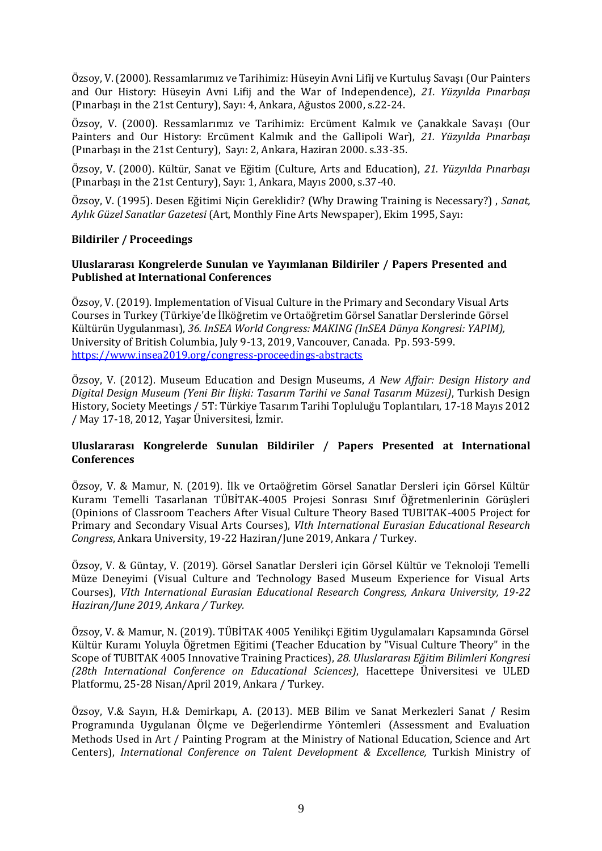Özsoy, V. (2000). Ressamlarımız ve Tarihimiz: Hüseyin Avni Lifij ve Kurtuluş Savaşı (Our Painters and Our History: Hüseyin Avni Lifij and the War of Independence), *21. Yüzyılda Pınarbaşı* (Pınarbaşı in the 21st Century), Sayı: 4, Ankara, Ağustos 2000, s.22-24.

Özsoy, V. (2000). Ressamlarımız ve Tarihimiz: Ercüment Kalmık ve Çanakkale Savaşı (Our Painters and Our History: Ercüment Kalmık and the Gallipoli War), *21. Yüzyılda Pınarbaşı* (Pınarbaşı in the 21st Century), Sayı: 2, Ankara, Haziran 2000. s.33-35.

Özsoy, V. (2000). Kültür, Sanat ve Eğitim (Culture, Arts and Education), *21. Yüzyılda Pınarbaşı* (Pınarbaşı in the 21st Century), Sayı: 1, Ankara, Mayıs 2000, s.37-40.

Özsoy, V. (1995). Desen Eğitimi Niçin Gereklidir? (Why Drawing Training is Necessary?) , *Sanat, Aylık Güzel Sanatlar Gazetesi* (Art, Monthly Fine Arts Newspaper), Ekim 1995, Sayı:

# **Bildiriler / Proceedings**

### **Uluslararası Kongrelerde Sunulan ve Yayımlanan Bildiriler / Papers Presented and Published at International Conferences**

Özsoy, V. (2019). Implementation of Visual Culture in the Primary and Secondary Visual Arts Courses in Turkey (Türkiye'de İlköğretim ve Ortaöğretim Görsel Sanatlar Derslerinde Görsel Kültürün Uygulanması), *36. InSEA World Congress: MAKING (InSEA Dünya Kongresi: YAPIM),* University of British Columbia, July 9-13, 2019, Vancouver, Canada. Pp. 593-599. <https://www.insea2019.org/congress-proceedings-abstracts>

Özsoy, V. (2012). Museum Education and Design Museums, *A New Affair: Design History and Digital Design Museum (Yeni Bir İlişki: Tasarım Tarihi ve Sanal Tasarım Müzesi)*, Turkish Design History, Society Meetings / 5T: Türkiye Tasarım Tarihi Topluluğu Toplantıları, 17-18 Mayıs 2012 / May 17-18, 2012, Yaşar Üniversitesi, İzmir.

# **Uluslararası Kongrelerde Sunulan Bildiriler / Papers Presented at International Conferences**

Özsoy, V. & Mamur, N. (2019). İlk ve Ortaöğretim Görsel Sanatlar Dersleri için Görsel Kültür Kuramı Temelli Tasarlanan TÜBİTAK-4005 Projesi Sonrası Sınıf Öğretmenlerinin Görüşleri (Opinions of Classroom Teachers After Visual Culture Theory Based TUBITAK-4005 Project for Primary and Secondary Visual Arts Courses), *VIth International Eurasian Educational Research Congress*, Ankara University, 19-22 Haziran/June 2019, Ankara / Turkey.

Özsoy, V. & Güntay, V. (2019). Görsel Sanatlar Dersleri için Görsel Kültür ve Teknoloji Temelli Müze Deneyimi (Visual Culture and Technology Based Museum Experience for Visual Arts Courses), *VIth International Eurasian Educational Research Congress, Ankara University, 19-22 Haziran/June 2019, Ankara / Turkey.*

Özsoy, V. & Mamur, N. (2019). TÜBİTAK 4005 Yenilikçi Eğitim Uygulamaları Kapsamında Görsel Kültür Kuramı Yoluyla Öğretmen Eğitimi (Teacher Education by "Visual Culture Theory" in the Scope of TUBITAK 4005 Innovative Training Practices), *28. Uluslararası Eğitim Bilimleri Kongresi (28th International Conference on Educational Sciences)*, Hacettepe Üniversitesi ve ULED Platformu, 25-28 Nisan/April 2019, Ankara / Turkey.

Özsoy, V.& Sayın, H.& Demirkapı, A. (2013). MEB Bilim ve Sanat Merkezleri Sanat / Resim Programında Uygulanan Ölçme ve Değerlendirme Yöntemleri (Assessment and Evaluation Methods Used in Art / Painting Program at the Ministry of National Education, Science and Art Centers), *International Conference on Talent Development & Excellence,* Turkish Ministry of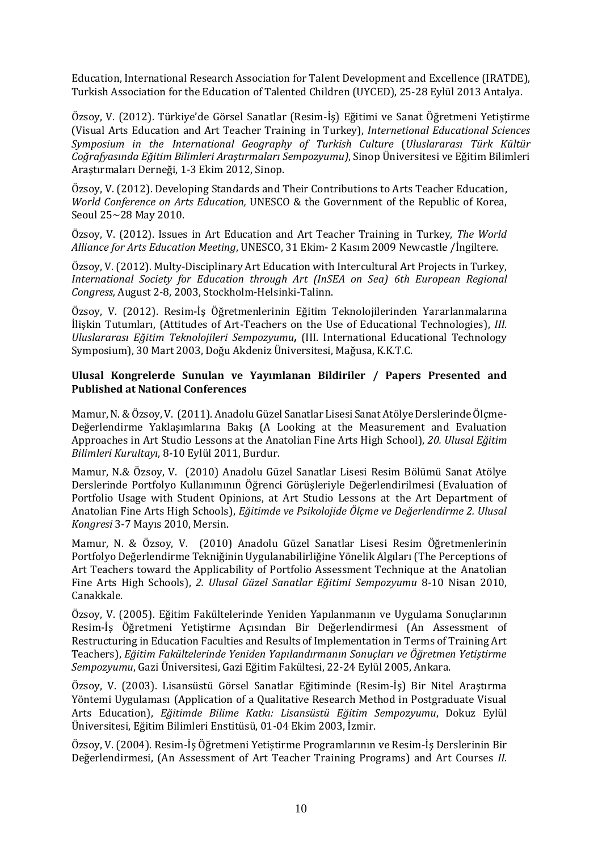Education, International Research Association for Talent Development and Excellence (IRATDE), Turkish Association for the Education of Talented Children (UYCED), 25-28 Eylül 2013 Antalya.

Özsoy, V. (2012). Türkiye'de Görsel Sanatlar (Resim-İş) Eğitimi ve Sanat Öğretmeni Yetiştirme (Visual Arts Education and Art Teacher Training in Turkey), *Internetional Educational Sciences Symposium in the International Geography of Turkish Culture* (*Uluslararası Türk Kültür Coğrafyasında Eğitim Bilimleri Araştırmaları Sempozyumu)*, Sinop Üniversitesi ve Eğitim Bilimleri Araştırmaları Derneği, 1-3 Ekim 2012, Sinop.

Özsoy, V. (2012). Developing Standards and Their Contributions to Arts Teacher Education, *World Conference on Arts Education,* UNESCO & the Government of the Republic of Korea, Seoul 25~28 May 2010.

Özsoy, V. (2012). Issues in Art Education and Art Teacher Training in Turkey, *The World Alliance for Arts Education Meeting*, UNESCO, 31 Ekim- 2 Kasım 2009 Newcastle /İngiltere.

Özsoy, V. (2012). Multy-Disciplinary Art Education with Intercultural Art Projects in Turkey, *International Society for Education through Art (InSEA on Sea) 6th European Regional Congress,* August 2-8, 2003, Stockholm-Helsinki-Talinn.

Özsoy, V. (2012). Resim-İş Öğretmenlerinin Eğitim Teknolojilerinden Yararlanmalarına İlişkin Tutumları, (Attitudes of Art-Teachers on the Use of Educational Technologies), *III. Uluslararası Eğitim Teknolojileri Sempozyumu,* (III. International Educational Technology Symposium), 30 Mart 2003, Doğu Akdeniz Üniversitesi, Mağusa, K.K.T.C.

#### **Ulusal Kongrelerde Sunulan ve Yayımlanan Bildiriler / Papers Presented and Published at National Conferences**

Mamur, N.& Özsoy, V. (2011). Anadolu Güzel Sanatlar Lisesi Sanat Atölye Derslerinde Ölçme-Değerlendirme Yaklaşımlarına Bakış (A Looking at the Measurement and Evaluation Approaches in Art Studio Lessons at the Anatolian Fine Arts High School), *20. Ulusal Eğitim Bilimleri Kurultayı*, 8-10 Eylül 2011, Burdur.

Mamur, N.& Özsoy, V. (2010) Anadolu Güzel Sanatlar Lisesi Resim Bölümü Sanat Atölye Derslerinde Portfolyo Kullanımının Öğrenci Görüşleriyle Değerlendirilmesi (Evaluation of Portfolio Usage with Student Opinions, at Art Studio Lessons at the Art Department of Anatolian Fine Arts High Schools), *Eğitimde ve Psikolojide Ölçme ve Değerlendirme 2. Ulusal Kongresi* 3-7 Mayıs 2010, Mersin.

Mamur, N. & Özsoy, V. (2010) Anadolu Güzel Sanatlar Lisesi Resim Öğretmenlerinin Portfolyo Değerlendirme Tekniğinin Uygulanabilirliğine Yönelik Algıları (The Perceptions of Art Teachers toward the Applicability of Portfolio Assessment Technique at the Anatolian Fine Arts High Schools), *2. Ulusal Güzel Sanatlar Eğitimi Sempozyumu* 8-10 Nisan 2010, Canakkale.

Özsoy, V. (2005). Eğitim Fakültelerinde Yeniden Yapılanmanın ve Uygulama Sonuçlarının Resim-İş Öğretmeni Yetiştirme Açısından Bir Değerlendirmesi (An Assessment of Restructuring in Education Faculties and Results of Implementation in Terms of Training Art Teachers), *Eğitim Fakültelerinde Yeniden Yapılandırmanın Sonuçları ve Öğretmen Yetiştirme Sempozyumu*, Gazi Üniversitesi, Gazi Eğitim Fakültesi, 22-24 Eylül 2005, Ankara.

Özsoy, V. (2003). Lisansüstü Görsel Sanatlar Eğitiminde (Resim-İş) Bir Nitel Araştırma Yöntemi Uygulaması (Application of a Qualitative Research Method in Postgraduate Visual Arts Education), *Eğitimde Bilime Katkı: Lisansüstü Eğitim Sempozyumu*, Dokuz Eylül Üniversitesi, Eğitim Bilimleri Enstitüsü, 01-04 Ekim 2003, İzmir.

Özsoy, V. (2004). Resim-İş Öğretmeni Yetiştirme Programlarının ve Resim-İş Derslerinin Bir Değerlendirmesi, (An Assessment of Art Teacher Training Programs) and Art Courses *II.*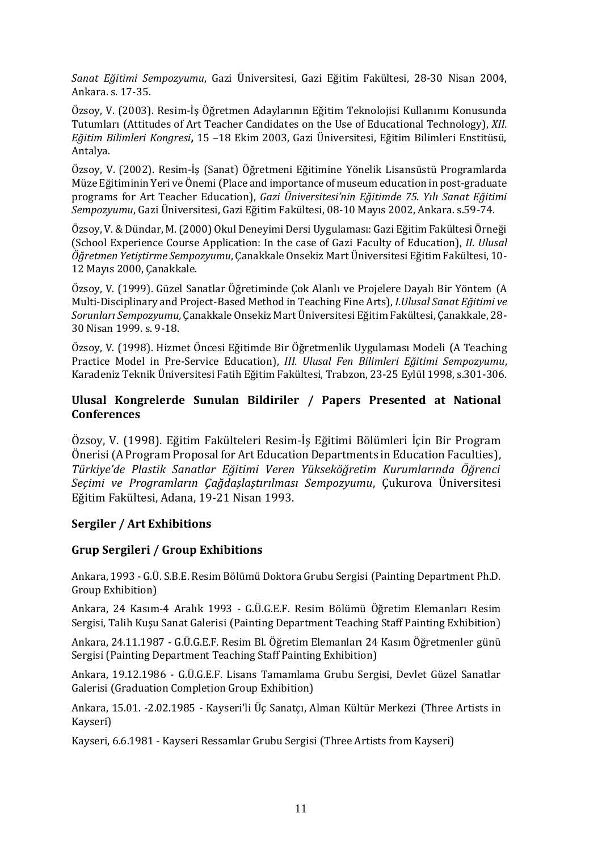*Sanat Eğitimi Sempozyumu*, Gazi Üniversitesi, Gazi Eğitim Fakültesi, 28-30 Nisan 2004, Ankara. s. 17-35.

Özsoy, V. (2003). Resim-İş Öğretmen Adaylarının Eğitim Teknolojisi Kullanımı Konusunda Tutumları (Attitudes of Art Teacher Candidates on the Use of Educational Technology), *XII. Eğitim Bilimleri Kongresi***,** 15 –18 Ekim 2003, Gazi Üniversitesi, Eğitim Bilimleri Enstitüsü, Antalya.

Özsoy, V. (2002). Resim-İş (Sanat) Öğretmeni Eğitimine Yönelik Lisansüstü Programlarda Müze Eğitiminin Yeri ve Önemi (Place and importance of museum education in post-graduate programs for Art Teacher Education), *Gazi Üniversitesi'nin Eğitimde 75. Yılı Sanat Eğitimi Sempozyumu*, Gazi Üniversitesi, Gazi Eğitim Fakültesi, 08-10 Mayıs 2002, Ankara. s.59-74.

Özsoy, V. & Dündar, M. (2000) Okul Deneyimi Dersi Uygulaması: Gazi Eğitim Fakültesi Örneği (School Experience Course Application: In the case of Gazi Faculty of Education), *II. Ulusal Öğretmen Yetiştirme Sempozyumu*, Çanakkale Onsekiz Mart Üniversitesi Eğitim Fakültesi, 10- 12 Mayıs 2000, Çanakkale.

Özsoy, V. (1999). Güzel Sanatlar Öğretiminde Çok Alanlı ve Projelere Dayalı Bir Yöntem (A Multi-Disciplinary and Project-Based Method in Teaching Fine Arts), *I.Ulusal Sanat Eğitimi ve Sorunları Sempozyumu,* Çanakkale Onsekiz Mart Üniversitesi Eğitim Fakültesi, Çanakkale, 28- 30 Nisan 1999. s. 9-18.

Özsoy, V. (1998). Hizmet Öncesi Eğitimde Bir Öğretmenlik Uygulaması Modeli (A Teaching Practice Model in Pre-Service Education), *III. Ulusal Fen Bilimleri Eğitimi Sempozyumu*, Karadeniz Teknik Üniversitesi Fatih Eğitim Fakültesi, Trabzon, 23-25 Eylül 1998, s.301-306.

# **Ulusal Kongrelerde Sunulan Bildiriler / Papers Presented at National Conferences**

Özsoy, V. (1998). Eğitim Fakülteleri Resim-İş Eğitimi Bölümleri İçin Bir Program Önerisi (A Program Proposal for Art Education Departments in Education Faculties), *Türkiye'de Plastik Sanatlar Eğitimi Veren Yükseköğretim Kurumlarında Öğrenci Seçimi ve Programların Çağdaşlaştırılması Sempozyumu*, Çukurova Üniversitesi Eğitim Fakültesi, Adana, 19-21 Nisan 1993.

# **Sergiler / Art Exhibitions**

# **Grup Sergileri / Group Exhibitions**

Ankara, 1993 - G.Ü. S.B.E. Resim Bölümü Doktora Grubu Sergisi (Painting Department Ph.D. Group Exhibition)

Ankara, 24 Kasım-4 Aralık 1993 - G.Ü.G.E.F. Resim Bölümü Öğretim Elemanları Resim Sergisi, Talih Kuşu Sanat Galerisi (Painting Department Teaching Staff Painting Exhibition)

Ankara, 24.11.1987 - G.Ü.G.E.F. Resim Bl. Öğretim Elemanları 24 Kasım Öğretmenler günü Sergisi (Painting Department Teaching Staff Painting Exhibition)

Ankara, 19.12.1986 - G.Ü.G.E.F. Lisans Tamamlama Grubu Sergisi, Devlet Güzel Sanatlar Galerisi (Graduation Completion Group Exhibition)

Ankara, 15.01. -2.02.1985 - Kayseri'li Üç Sanatçı, Alman Kültür Merkezi (Three Artists in Kayseri)

Kayseri, 6.6.1981 - Kayseri Ressamlar Grubu Sergisi (Three Artists from Kayseri)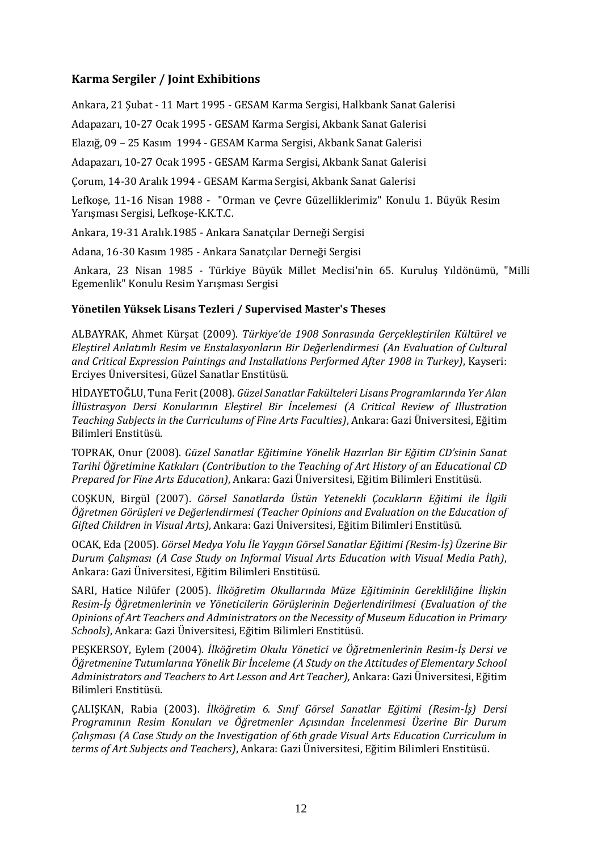# **Karma Sergiler / Joint Exhibitions**

Ankara, 21 Şubat - 11 Mart 1995 - GESAM Karma Sergisi, Halkbank Sanat Galerisi

Adapazarı, 10-27 Ocak 1995 - GESAM Karma Sergisi, Akbank Sanat Galerisi

Elazığ, 09 – 25 Kasım 1994 - GESAM Karma Sergisi, Akbank Sanat Galerisi

Adapazarı, 10-27 Ocak 1995 - GESAM Karma Sergisi, Akbank Sanat Galerisi

Çorum, 14-30 Aralık 1994 - GESAM Karma Sergisi, Akbank Sanat Galerisi

Lefkoşe, 11-16 Nisan 1988 - "Orman ve Çevre Güzelliklerimiz" Konulu 1. Büyük Resim Yarışması Sergisi, Lefkoşe-K.K.T.C.

Ankara, 19-31 Aralık.1985 - Ankara Sanatçılar Derneği Sergisi

Adana, 16-30 Kasım 1985 - Ankara Sanatçılar Derneği Sergisi

Ankara, 23 Nisan 1985 - Türkiye Büyük Millet Meclisi'nin 65. Kuruluş Yıldönümü, "Milli Egemenlik" Konulu Resim Yarışması Sergisi

# **Yönetilen Yüksek Lisans Tezleri / Supervised Master's Theses**

ALBAYRAK, Ahmet Kürşat (2009). *Türkiye'de 1908 Sonrasında Gerçekleştirilen Kültürel ve Eleştirel Anlatımlı Resim ve Enstalasyonların Bir Değerlendirmesi (An Evaluation of Cultural and Critical Expression Paintings and Installations Performed After 1908 in Turkey)*, Kayseri: Erciyes Üniversitesi, Güzel Sanatlar Enstitüsü.

HİDAYETOĞLU, Tuna Ferit (2008). *Güzel Sanatlar Fakülteleri Lisans Programlarında Yer Alan İllüstrasyon Dersi Konularının Eleştirel Bir İncelemesi (A Critical Review of Illustration Teaching Subjects in the Curriculums of Fine Arts Faculties)*, Ankara: Gazi Üniversitesi, Eğitim Bilimleri Enstitüsü.

TOPRAK, Onur (2008). *Güzel Sanatlar Eğitimine Yönelik Hazırlan Bir Eğitim CD'sinin Sanat Tarihi Öğretimine Katkıları (Contribution to the Teaching of Art History of an Educational CD Prepared for Fine Arts Education)*, Ankara: Gazi Üniversitesi, Eğitim Bilimleri Enstitüsü.

COŞKUN, Birgül (2007). *Görsel Sanatlarda Üstün Yetenekli Çocukların Eğitimi ile İlgili Öğretmen Görüşleri ve Değerlendirmesi (Teacher Opinions and Evaluation on the Education of Gifted Children in Visual Arts)*, Ankara: Gazi Üniversitesi, Eğitim Bilimleri Enstitüsü.

OCAK, Eda (2005). *Görsel Medya Yolu İle Yaygın Görsel Sanatlar Eğitimi (Resim-İş) Üzerine Bir Durum Çalışması (A Case Study on Informal Visual Arts Education with Visual Media Path)*, Ankara: Gazi Üniversitesi, Eğitim Bilimleri Enstitüsü.

SARI, Hatice Nilüfer (2005). *İlköğretim Okullarında Müze Eğitiminin Gerekliliğine İlişkin Resim-İş Öğretmenlerinin ve Yöneticilerin Görüşlerinin Değerlendirilmesi (Evaluation of the Opinions of Art Teachers and Administrators on the Necessity of Museum Education in Primary Schools)*, Ankara: Gazi Üniversitesi, Eğitim Bilimleri Enstitüsü.

PEŞKERSOY, Eylem (2004). *İlköğretim Okulu Yönetici ve Öğretmenlerinin Resim-İş Dersi ve Öğretmenine Tutumlarına Yönelik Bir İnceleme (A Study on the Attitudes of Elementary School Administrators and Teachers to Art Lesson and Art Teacher),* Ankara: Gazi Üniversitesi, Eğitim Bilimleri Enstitüsü.

ÇALIŞKAN, Rabia (2003). *İlköğretim 6. Sınıf Görsel Sanatlar Eğitimi (Resim-İş) Dersi Programının Resim Konuları ve Öğretmenler Açısından İncelenmesi Üzerine Bir Durum Çalışması (A Case Study on the Investigation of 6th grade Visual Arts Education Curriculum in terms of Art Subjects and Teachers)*, Ankara: Gazi Üniversitesi, Eğitim Bilimleri Enstitüsü.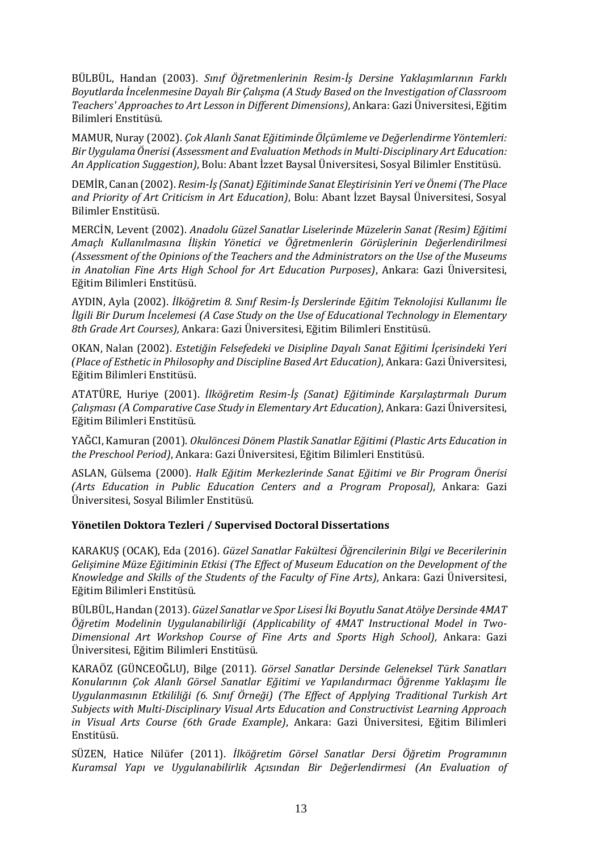BÜLBÜL, Handan (2003). *Sınıf Öğretmenlerinin Resim-İş Dersine Yaklaşımlarının Farklı Boyutlarda İncelenmesine Dayalı Bir Çalışma (A Study Based on the Investigation of Classroom Teachers' Approaches to Art Lesson in Different Dimensions),* Ankara: Gazi Üniversitesi, Eğitim Bilimleri Enstitüsü.

MAMUR, Nuray (2002). *Çok Alanlı Sanat Eğitiminde Ölçümleme ve Değerlendirme Yöntemleri: Bir Uygulama Önerisi (Assessment and Evaluation Methods in Multi-Disciplinary Art Education: An Application Suggestion)*, Bolu: Abant İzzet Baysal Üniversitesi, Sosyal Bilimler Enstitüsü.

DEMİR, Canan (2002). *Resim-İş (Sanat) Eğitiminde Sanat Eleştirisinin Yeri ve Önemi (The Place and Priority of Art Criticism in Art Education)*, Bolu: Abant İzzet Baysal Üniversitesi, Sosyal Bilimler Enstitüsü.

MERCİN, Levent (2002). *Anadolu Güzel Sanatlar Liselerinde Müzelerin Sanat (Resim) Eğitimi Amaçlı Kullanılmasına İlişkin Yönetici ve Öğretmenlerin Görüşlerinin Değerlendirilmesi (Assessment of the Opinions of the Teachers and the Administrators on the Use of the Museums in Anatolian Fine Arts High School for Art Education Purposes)*, Ankara: Gazi Üniversitesi, Eğitim Bilimleri Enstitüsü.

AYDIN, Ayla (2002). *İlköğretim 8. Sınıf Resim-İş Derslerinde Eğitim Teknolojisi Kullanımı İle İlgili Bir Durum İncelemesi (A Case Study on the Use of Educational Technology in Elementary 8th Grade Art Courses),* Ankara: Gazi Üniversitesi, Eğitim Bilimleri Enstitüsü.

OKAN, Nalan (2002). *Estetiğin Felsefedeki ve Disipline Dayalı Sanat Eğitimi İçerisindeki Yeri (Place of Esthetic in Philosophy and Discipline Based Art Education)*, Ankara: Gazi Üniversitesi, Eğitim Bilimleri Enstitüsü.

ATATÜRE, Huriye (2001). *İlköğretim Resim-İş (Sanat) Eğitiminde Karşılaştırmalı Durum Çalışması (A Comparative Case Study in Elementary Art Education)*, Ankara: Gazi Üniversitesi, Eğitim Bilimleri Enstitüsü.

YAĞCI, Kamuran (2001). *Okulöncesi Dönem Plastik Sanatlar Eğitimi (Plastic Arts Education in the Preschool Period)*, Ankara: Gazi Üniversitesi, Eğitim Bilimleri Enstitüsü.

ASLAN, Gülsema (2000). *Halk Eğitim Merkezlerinde Sanat Eğitimi ve Bir Program Önerisi (Arts Education in Public Education Centers and a Program Proposal)*, Ankara: Gazi Üniversitesi, Sosyal Bilimler Enstitüsü.

# **Yönetilen Doktora Tezleri / Supervised Doctoral Dissertations**

KARAKUŞ (OCAK), Eda (2016). *Güzel Sanatlar Fakültesi Öğrencilerinin Bilgi ve Becerilerinin Gelişimine Müze Eğitiminin Etkisi (The Effect of Museum Education on the Development of the Knowledge and Skills of the Students of the Faculty of Fine Arts),* Ankara: Gazi Üniversitesi, Eğitim Bilimleri Enstitüsü.

BÜLBÜL, Handan (2013). *Güzel Sanatlar ve Spor Lisesi İki Boyutlu Sanat Atölye Dersinde 4MAT Öğretim Modelinin Uygulanabilirliği (Applicability of 4MAT Instructional Model in Two-Dimensional Art Workshop Course of Fine Arts and Sports High School),* Ankara: Gazi Üniversitesi, Eğitim Bilimleri Enstitüsü.

KARAÖZ (GÜNCEOĞLU), Bilge (2011). *Görsel Sanatlar Dersinde Geleneksel Türk Sanatları Konularının Çok Alanlı Görsel Sanatlar Eğitimi ve Yapılandırmacı Öğrenme Yaklaşımı İle Uygulanmasının Etkililiği (6. Sınıf Örneği) (The Effect of Applying Traditional Turkish Art Subjects with Multi-Disciplinary Visual Arts Education and Constructivist Learning Approach in Visual Arts Course (6th Grade Example)*, Ankara: Gazi Üniversitesi, Eğitim Bilimleri Enstitüsü.

SÜZEN, Hatice Nilüfer (2011). *İlköğretim Görsel Sanatlar Dersi Öğretim Programının Kuramsal Yapı ve Uygulanabilirlik Açısından Bir Değerlendirmesi (An Evaluation of*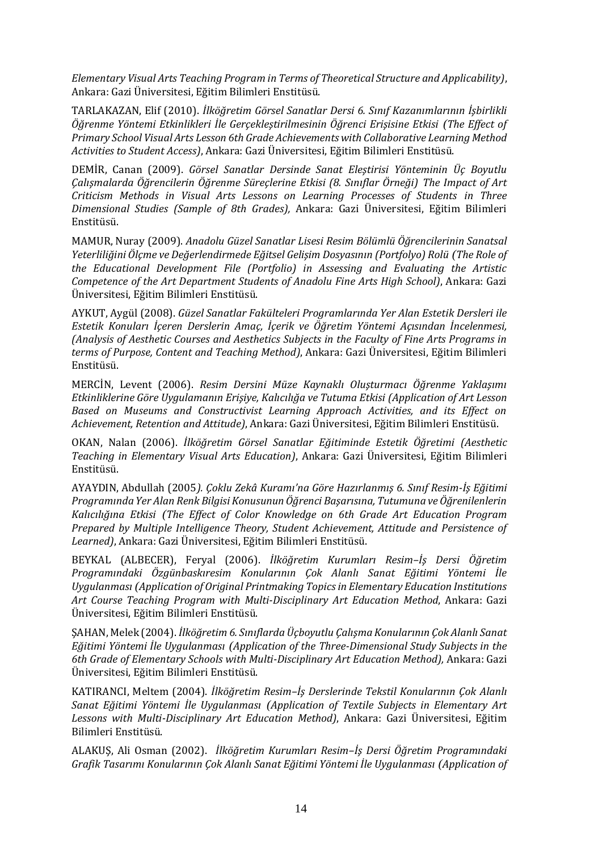*Elementary Visual Arts Teaching Program in Terms of Theoretical Structure and Applicability)*, Ankara: Gazi Üniversitesi, Eğitim Bilimleri Enstitüsü.

TARLAKAZAN, Elif (2010). *İlköğretim Görsel Sanatlar Dersi 6. Sınıf Kazanımlarının İşbirlikli Öğrenme Yöntemi Etkinlikleri İle Gerçekleştirilmesinin Öğrenci Erişisine Etkisi (The Effect of Primary School Visual Arts Lesson 6th Grade Achievements with Collaborative Learning Method Activities to Student Access)*, Ankara: Gazi Üniversitesi, Eğitim Bilimleri Enstitüsü.

DEMİR, Canan (2009). *Görsel Sanatlar Dersinde Sanat Eleştirisi Yönteminin Üç Boyutlu Çalışmalarda Öğrencilerin Öğrenme Süreçlerine Etkisi (8. Sınıflar Örneği) The Impact of Art Criticism Methods in Visual Arts Lessons on Learning Processes of Students in Three Dimensional Studies (Sample of 8th Grades),* Ankara: Gazi Üniversitesi, Eğitim Bilimleri Enstitüsü.

MAMUR, Nuray (2009). *Anadolu Güzel Sanatlar Lisesi Resim Bölümlü Öğrencilerinin Sanatsal Yeterliliğini Ölçme ve Değerlendirmede Eğitsel Gelişim Dosyasının (Portfolyo) Rolü (The Role of the Educational Development File (Portfolio) in Assessing and Evaluating the Artistic Competence of the Art Department Students of Anadolu Fine Arts High School)*, Ankara: Gazi Üniversitesi, Eğitim Bilimleri Enstitüsü.

AYKUT, Aygül (2008). *Güzel Sanatlar Fakülteleri Programlarında Yer Alan Estetik Dersleri ile Estetik Konuları İçeren Derslerin Amaç, İçerik ve Öğretim Yöntemi Açısından İncelenmesi, (Analysis of Aesthetic Courses and Aesthetics Subjects in the Faculty of Fine Arts Programs in terms of Purpose, Content and Teaching Method)*, Ankara: Gazi Üniversitesi, Eğitim Bilimleri Enstitüsü.

MERCİN, Levent (2006). *Resim Dersini Müze Kaynaklı Oluşturmacı Öğrenme Yaklaşımı Etkinliklerine Göre Uygulamanın Erişiye, Kalıcılığa ve Tutuma Etkisi (Application of Art Lesson Based on Museums and Constructivist Learning Approach Activities, and its Effect on Achievement, Retention and Attitude)*, Ankara: Gazi Üniversitesi, Eğitim Bilimleri Enstitüsü.

OKAN, Nalan (2006). *İlköğretim Görsel Sanatlar Eğitiminde Estetik Öğretimi (Aesthetic Teaching in Elementary Visual Arts Education)*, Ankara: Gazi Üniversitesi, Eğitim Bilimleri Enstitüsü.

AYAYDIN, Abdullah (2005*). Çoklu Zekâ Kuramı'na Göre Hazırlanmış 6. Sınıf Resim-İş Eğitimi Programında Yer Alan Renk Bilgisi Konusunun Öğrenci Başarısına, Tutumuna ve Öğrenilenlerin Kalıcılığına Etkisi (The Effect of Color Knowledge on 6th Grade Art Education Program Prepared by Multiple Intelligence Theory, Student Achievement, Attitude and Persistence of Learned)*, Ankara: Gazi Üniversitesi, Eğitim Bilimleri Enstitüsü.

BEYKAL (ALBECER), Feryal (2006). *İlköğretim Kurumları Resim–İş Dersi Öğretim Programındaki Özgünbaskıresim Konularının Çok Alanlı Sanat Eğitimi Yöntemi İle Uygulanması (Application of Original Printmaking Topics in Elementary Education Institutions Art Course Teaching Program with Multi-Disciplinary Art Education Method*, Ankara: Gazi Üniversitesi, Eğitim Bilimleri Enstitüsü.

ŞAHAN, Melek (2004). *İlköğretim 6. Sınıflarda Üçboyutlu Çalışma Konularının Çok Alanlı Sanat Eğitimi Yöntemi İle Uygulanması (Application of the Three-Dimensional Study Subjects in the 6th Grade of Elementary Schools with Multi-Disciplinary Art Education Method),* Ankara: Gazi Üniversitesi, Eğitim Bilimleri Enstitüsü.

KATIRANCI, Meltem (2004). *İlköğretim Resim–İş Derslerinde Tekstil Konularının Çok Alanlı Sanat Eğitimi Yöntemi İle Uygulanması (Application of Textile Subjects in Elementary Art Lessons with Multi-Disciplinary Art Education Method)*, Ankara: Gazi Üniversitesi, Eğitim Bilimleri Enstitüsü.

ALAKUŞ, Ali Osman (2002). *İlköğretim Kurumları Resim–İş Dersi Öğretim Programındaki Grafik Tasarımı Konularının Çok Alanlı Sanat Eğitimi Yöntemi İle Uygulanması (Application of*